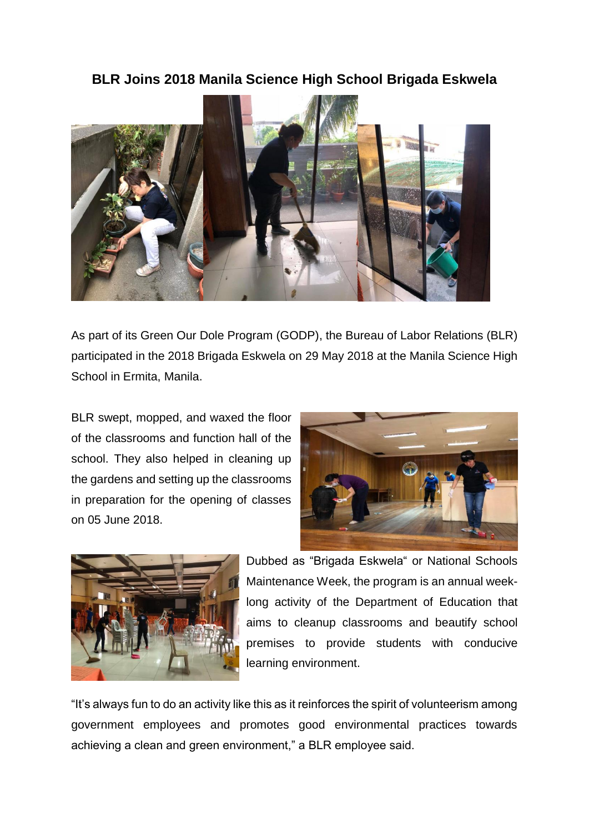## **BLR Joins 2018 Manila Science High School Brigada Eskwela**



As part of its Green Our Dole Program (GODP), the Bureau of Labor Relations (BLR) participated in the 2018 Brigada Eskwela on 29 May 2018 at the Manila Science High School in Ermita, Manila.

BLR swept, mopped, and waxed the floor of the classrooms and function hall of the school. They also helped in cleaning up the gardens and setting up the classrooms in preparation for the opening of classes on 05 June 2018.





Dubbed as "Brigada Eskwela" or National Schools Maintenance Week, the program is an annual weeklong activity of the Department of Education that aims to cleanup classrooms and beautify school premises to provide students with conducive learning environment.

"It's always fun to do an activity like this as it reinforces the spirit of volunteerism among government employees and promotes good environmental practices towards achieving a clean and green environment," a BLR employee said.